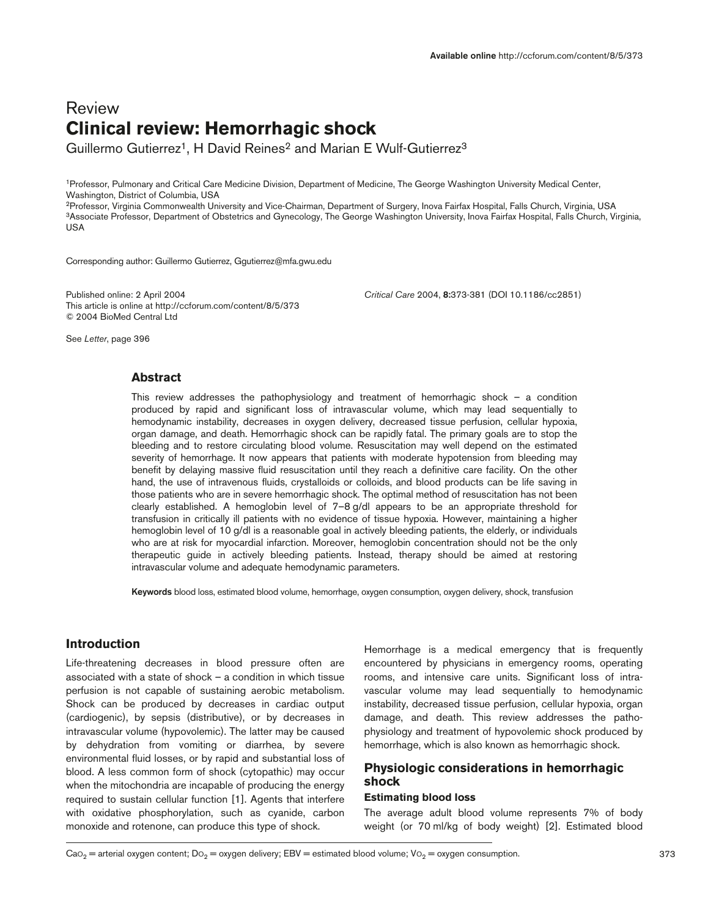# Review **Clinical review: Hemorrhagic shock**

Guillermo Gutierrez<sup>1</sup>, H David Reines<sup>2</sup> and Marian E Wulf-Gutierrez<sup>3</sup>

1Professor, Pulmonary and Critical Care Medicine Division, Department of Medicine, The George Washington University Medical Center, Washington, District of Columbia, USA

2Professor, Virginia Commonwealth University and Vice-Chairman, Department of Surgery, Inova Fairfax Hospital, Falls Church, Virginia, USA 3Associate Professor, Department of Obstetrics and Gynecology, The George Washington University, Inova Fairfax Hospital, Falls Church, Virginia, USA

Corresponding author: Guillermo Gutierrez, Ggutierrez@mfa.gwu.edu

Published online: 2 April 2004 *Critical Care* 2004, **8:**373-381 (DOI 10.1186/cc2851) This article is online at http://ccforum.com/content/8/5/373 © 2004 BioMed Central Ltd

See *Letter*, page 396

#### **Abstract**

This review addresses the pathophysiology and treatment of hemorrhagic shock – a condition produced by rapid and significant loss of intravascular volume, which may lead sequentially to hemodynamic instability, decreases in oxygen delivery, decreased tissue perfusion, cellular hypoxia, organ damage, and death. Hemorrhagic shock can be rapidly fatal. The primary goals are to stop the bleeding and to restore circulating blood volume. Resuscitation may well depend on the estimated severity of hemorrhage. It now appears that patients with moderate hypotension from bleeding may benefit by delaying massive fluid resuscitation until they reach a definitive care facility. On the other hand, the use of intravenous fluids, crystalloids or colloids, and blood products can be life saving in those patients who are in severe hemorrhagic shock. The optimal method of resuscitation has not been clearly established. A hemoglobin level of 7–8 g/dl appears to be an appropriate threshold for transfusion in critically ill patients with no evidence of tissue hypoxia. However, maintaining a higher hemoglobin level of 10 g/dl is a reasonable goal in actively bleeding patients, the elderly, or individuals who are at risk for myocardial infarction. Moreover, hemoglobin concentration should not be the only therapeutic guide in actively bleeding patients. Instead, therapy should be aimed at restoring intravascular volume and adequate hemodynamic parameters.

**Keywords** blood loss, estimated blood volume, hemorrhage, oxygen consumption, oxygen delivery, shock, transfusion

## **Introduction**

Life-threatening decreases in blood pressure often are associated with a state of shock – a condition in which tissue perfusion is not capable of sustaining aerobic metabolism. Shock can be produced by decreases in cardiac output (cardiogenic), by sepsis (distributive), or by decreases in intravascular volume (hypovolemic). The latter may be caused by dehydration from vomiting or diarrhea, by severe environmental fluid losses, or by rapid and substantial loss of blood. A less common form of shock (cytopathic) may occur when the mitochondria are incapable of producing the energy required to sustain cellular function [1]. Agents that interfere with oxidative phosphorylation, such as cyanide, carbon monoxide and rotenone, can produce this type of shock.

Hemorrhage is a medical emergency that is frequently encountered by physicians in emergency rooms, operating rooms, and intensive care units. Significant loss of intravascular volume may lead sequentially to hemodynamic instability, decreased tissue perfusion, cellular hypoxia, organ damage, and death. This review addresses the pathophysiology and treatment of hypovolemic shock produced by hemorrhage, which is also known as hemorrhagic shock.

## **Physiologic considerations in hemorrhagic shock**

## **Estimating blood loss**

The average adult blood volume represents 7% of body weight (or 70 ml/kg of body weight) [2]. Estimated blood

 $CaO<sub>2</sub> =$  arterial oxygen content; Do<sub>2</sub> = oxygen delivery; EBV = estimated blood volume; Vo<sub>2</sub> = oxygen consumption.  $373$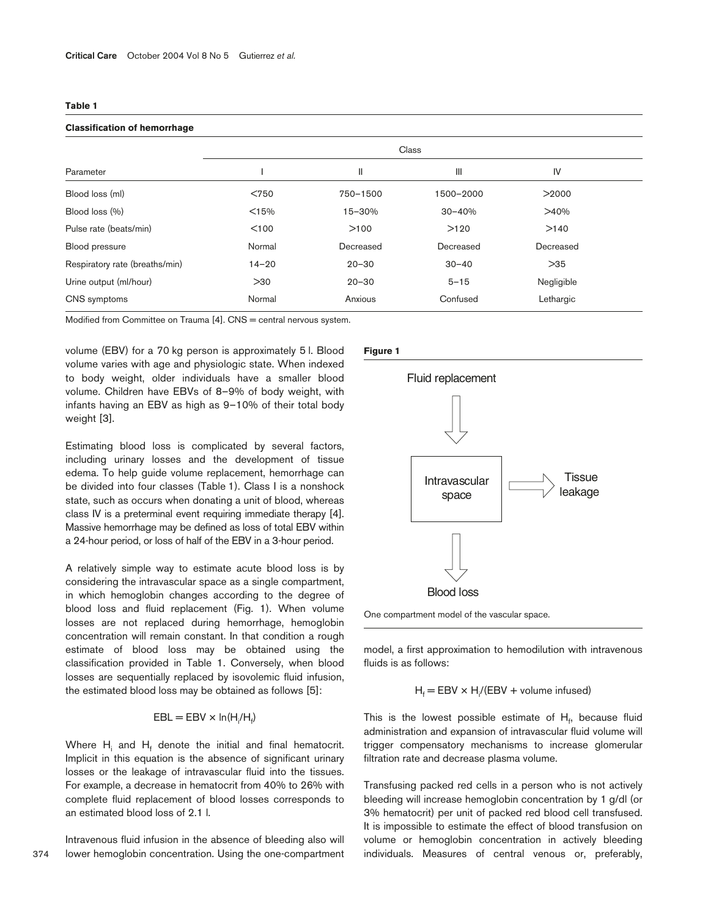#### **Table 1**

#### **Classification of hemorrhage**

| Parameter                      | Class     |           |            |            |
|--------------------------------|-----------|-----------|------------|------------|
|                                |           | Ш         | Ш          | IV         |
| Blood loss (ml)                | < 750     | 750-1500  | 1500-2000  | >2000      |
| Blood loss (%)                 | < 15%     | 15-30%    | $30 - 40%$ | >40%       |
| Pulse rate (beats/min)         | < 100     | >100      | >120       | >140       |
| Blood pressure                 | Normal    | Decreased | Decreased  | Decreased  |
| Respiratory rate (breaths/min) | $14 - 20$ | $20 - 30$ | $30 - 40$  | $>35$      |
| Urine output (ml/hour)         | >30       | $20 - 30$ | $5 - 15$   | Negligible |
| CNS symptoms                   | Normal    | Anxious   | Confused   | Lethargic  |

Modified from Committee on Trauma [4]. CNS = central nervous system.

volume (EBV) for a 70 kg person is approximately 5 l. Blood volume varies with age and physiologic state. When indexed to body weight, older individuals have a smaller blood volume. Children have EBVs of 8–9% of body weight, with infants having an EBV as high as 9–10% of their total body weight [3].

Estimating blood loss is complicated by several factors, including urinary losses and the development of tissue edema. To help guide volume replacement, hemorrhage can be divided into four classes (Table 1). Class I is a nonshock state, such as occurs when donating a unit of blood, whereas class IV is a preterminal event requiring immediate therapy [4]. Massive hemorrhage may be defined as loss of total EBV within a 24-hour period, or loss of half of the EBV in a 3-hour period.

A relatively simple way to estimate acute blood loss is by considering the intravascular space as a single compartment, in which hemoglobin changes according to the degree of blood loss and fluid replacement (Fig. 1). When volume losses are not replaced during hemorrhage, hemoglobin concentration will remain constant. In that condition a rough estimate of blood loss may be obtained using the classification provided in Table 1. Conversely, when blood losses are sequentially replaced by isovolemic fluid infusion, the estimated blood loss may be obtained as follows [5]:

## $EBL = EBV \times \ln(H_i/H_f)$

Where  $H_i$  and  $H_f$  denote the initial and final hematocrit. Implicit in this equation is the absence of significant urinary losses or the leakage of intravascular fluid into the tissues. For example, a decrease in hematocrit from 40% to 26% with complete fluid replacement of blood losses corresponds to an estimated blood loss of 2.1 l.

374 Intravenous fluid infusion in the absence of bleeding also will lower hemoglobin concentration. Using the one-compartment

#### **Figure 1**



One compartment model of the vascular space.

model, a first approximation to hemodilution with intravenous fluids is as follows:

$$
H_f = EBV \times H_i / (EBV + volume in fused)
$$

This is the lowest possible estimate of  $\mathsf{H}_{\mathsf{f}}$ , because fluid administration and expansion of intravascular fluid volume will trigger compensatory mechanisms to increase glomerular filtration rate and decrease plasma volume.

Transfusing packed red cells in a person who is not actively bleeding will increase hemoglobin concentration by 1 g/dl (or 3% hematocrit) per unit of packed red blood cell transfused. It is impossible to estimate the effect of blood transfusion on volume or hemoglobin concentration in actively bleeding individuals. Measures of central venous or, preferably,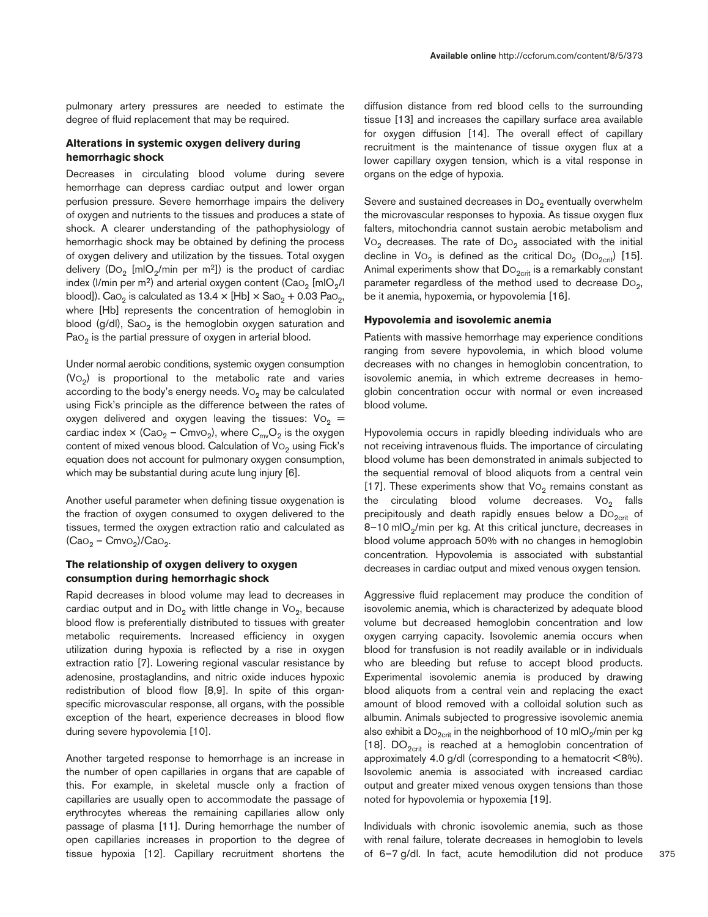pulmonary artery pressures are needed to estimate the degree of fluid replacement that may be required.

## **Alterations in systemic oxygen delivery during hemorrhagic shock**

Decreases in circulating blood volume during severe hemorrhage can depress cardiac output and lower organ perfusion pressure. Severe hemorrhage impairs the delivery of oxygen and nutrients to the tissues and produces a state of shock. A clearer understanding of the pathophysiology of hemorrhagic shock may be obtained by defining the process of oxygen delivery and utilization by the tissues. Total oxygen delivery (Do<sub>2</sub> [mlO<sub>2</sub>/min per m<sup>2</sup>]) is the product of cardiac index (I/min per m<sup>2</sup>) and arterial oxygen content (Cao<sub>2</sub> [mIO<sub>2</sub>/l] blood]). Ca $O<sub>2</sub>$  is calculated as 13.4  $\times$  [Hb]  $\times$  Sa $O<sub>2</sub>$  + 0.03 Pa $O<sub>2</sub>$ , where [Hb] represents the concentration of hemoglobin in blood  $(g/dl)$ , Sao<sub>2</sub> is the hemoglobin oxygen saturation and  $PaO<sub>2</sub>$  is the partial pressure of oxygen in arterial blood.

Under normal aerobic conditions, systemic oxygen consumption  $(VO<sub>2</sub>)$  is proportional to the metabolic rate and varies according to the body's energy needs. Vo<sub>2</sub> may be calculated using Fick's principle as the difference between the rates of oxygen delivered and oxygen leaving the tissues:  $Vo<sub>2</sub>$  = cardiac index  $\times$  (CaO<sub>2</sub> – CmvO<sub>2</sub>), where C<sub>mv</sub>O<sub>2</sub> is the oxygen content of mixed venous blood. Calculation of  $Vo<sub>2</sub>$  using Fick's equation does not account for pulmonary oxygen consumption, which may be substantial during acute lung injury [6].

Another useful parameter when defining tissue oxygenation is the fraction of oxygen consumed to oxygen delivered to the tissues, termed the oxygen extraction ratio and calculated as  $(Cao<sub>2</sub> - CmvO<sub>2</sub>)/Cao<sub>2</sub>.$ 

## **The relationship of oxygen delivery to oxygen consumption during hemorrhagic shock**

Rapid decreases in blood volume may lead to decreases in cardiac output and in  $Do_2$  with little change in  $Vo_2$ , because blood flow is preferentially distributed to tissues with greater metabolic requirements. Increased efficiency in oxygen utilization during hypoxia is reflected by a rise in oxygen extraction ratio [7]. Lowering regional vascular resistance by adenosine, prostaglandins, and nitric oxide induces hypoxic redistribution of blood flow [8,9]. In spite of this organspecific microvascular response, all organs, with the possible exception of the heart, experience decreases in blood flow during severe hypovolemia [10].

Another targeted response to hemorrhage is an increase in the number of open capillaries in organs that are capable of this. For example, in skeletal muscle only a fraction of capillaries are usually open to accommodate the passage of erythrocytes whereas the remaining capillaries allow only passage of plasma [11]. During hemorrhage the number of open capillaries increases in proportion to the degree of tissue hypoxia [12]. Capillary recruitment shortens the

diffusion distance from red blood cells to the surrounding tissue [13] and increases the capillary surface area available for oxygen diffusion [14]. The overall effect of capillary recruitment is the maintenance of tissue oxygen flux at a lower capillary oxygen tension, which is a vital response in organs on the edge of hypoxia.

Severe and sustained decreases in Do<sub>2</sub> eventually overwhelm the microvascular responses to hypoxia. As tissue oxygen flux falters, mitochondria cannot sustain aerobic metabolism and  $Vo<sub>2</sub>$  decreases. The rate of  $Do<sub>2</sub>$  associated with the initial decline in Vo<sub>2</sub> is defined as the critical Do<sub>2</sub> (Do<sub>2crit</sub>) [15]. Animal experiments show that  $Do_{2crit}$  is a remarkably constant parameter regardless of the method used to decrease  $Do<sub>2</sub>$ , be it anemia, hypoxemia, or hypovolemia [16].

#### **Hypovolemia and isovolemic anemia**

Patients with massive hemorrhage may experience conditions ranging from severe hypovolemia, in which blood volume decreases with no changes in hemoglobin concentration, to isovolemic anemia, in which extreme decreases in hemoglobin concentration occur with normal or even increased blood volume.

Hypovolemia occurs in rapidly bleeding individuals who are not receiving intravenous fluids. The importance of circulating blood volume has been demonstrated in animals subjected to the sequential removal of blood aliquots from a central vein [17]. These experiments show that  $Vo<sub>2</sub>$  remains constant as the circulating blood volume decreases. Vo<sub>2</sub> falls precipitously and death rapidly ensues below a  $Do_{2crit}$  of 8-10 mlO<sub>2</sub>/min per kg. At this critical juncture, decreases in blood volume approach 50% with no changes in hemoglobin concentration. Hypovolemia is associated with substantial decreases in cardiac output and mixed venous oxygen tension.

Aggressive fluid replacement may produce the condition of isovolemic anemia, which is characterized by adequate blood volume but decreased hemoglobin concentration and low oxygen carrying capacity. Isovolemic anemia occurs when blood for transfusion is not readily available or in individuals who are bleeding but refuse to accept blood products. Experimental isovolemic anemia is produced by drawing blood aliquots from a central vein and replacing the exact amount of blood removed with a colloidal solution such as albumin. Animals subjected to progressive isovolemic anemia also exhibit a  $Do_{2crit}$  in the neighborhood of 10 mlO<sub>2</sub>/min per kg [18].  $DO_{2crit}$  is reached at a hemoglobin concentration of approximately 4.0 g/dl (corresponding to a hematocrit <8%). Isovolemic anemia is associated with increased cardiac output and greater mixed venous oxygen tensions than those noted for hypovolemia or hypoxemia [19].

Individuals with chronic isovolemic anemia, such as those with renal failure, tolerate decreases in hemoglobin to levels of 6–7 g/dl. In fact, acute hemodilution did not produce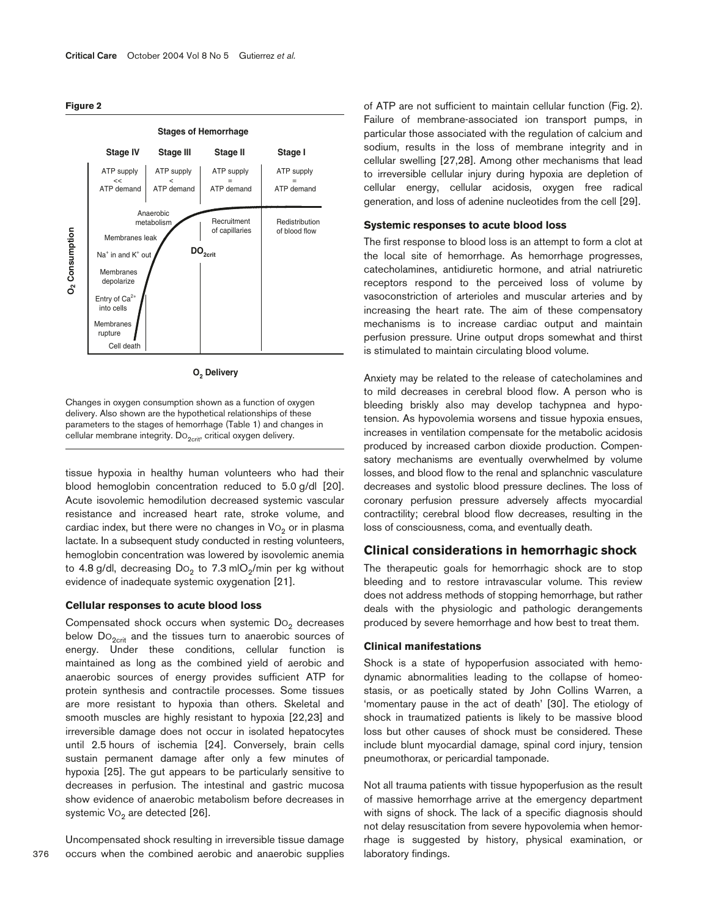#### **Figure 2**



Changes in oxygen consumption shown as a function of oxygen delivery. Also shown are the hypothetical relationships of these parameters to the stages of hemorrhage (Table 1) and changes in cellular membrane integrity.  $Do_{2crit}$ , critical oxygen delivery.

tissue hypoxia in healthy human volunteers who had their blood hemoglobin concentration reduced to 5.0 g/dl [20]. Acute isovolemic hemodilution decreased systemic vascular resistance and increased heart rate, stroke volume, and cardiac index, but there were no changes in  $Vo<sub>2</sub>$  or in plasma lactate. In a subsequent study conducted in resting volunteers, hemoglobin concentration was lowered by isovolemic anemia to 4.8 g/dl, decreasing  $Do_2$  to 7.3 ml $O_2$ /min per kg without evidence of inadequate systemic oxygenation [21].

#### **Cellular responses to acute blood loss**

Compensated shock occurs when systemic Do<sub>2</sub> decreases below  $Do_{2\text{crit}}$  and the tissues turn to anaerobic sources of energy. Under these conditions, cellular function is maintained as long as the combined yield of aerobic and anaerobic sources of energy provides sufficient ATP for protein synthesis and contractile processes. Some tissues are more resistant to hypoxia than others. Skeletal and smooth muscles are highly resistant to hypoxia [22,23] and irreversible damage does not occur in isolated hepatocytes until 2.5 hours of ischemia [24]. Conversely, brain cells sustain permanent damage after only a few minutes of hypoxia [25]. The gut appears to be particularly sensitive to decreases in perfusion. The intestinal and gastric mucosa show evidence of anaerobic metabolism before decreases in systemic  $Vo<sub>2</sub>$  are detected [26].

of ATP are not sufficient to maintain cellular function (Fig. 2). Failure of membrane-associated ion transport pumps, in particular those associated with the regulation of calcium and sodium, results in the loss of membrane integrity and in cellular swelling [27,28]. Among other mechanisms that lead to irreversible cellular injury during hypoxia are depletion of cellular energy, cellular acidosis, oxygen free radical generation, and loss of adenine nucleotides from the cell [29].

#### **Systemic responses to acute blood loss**

The first response to blood loss is an attempt to form a clot at the local site of hemorrhage. As hemorrhage progresses, catecholamines, antidiuretic hormone, and atrial natriuretic receptors respond to the perceived loss of volume by vasoconstriction of arterioles and muscular arteries and by increasing the heart rate. The aim of these compensatory mechanisms is to increase cardiac output and maintain perfusion pressure. Urine output drops somewhat and thirst is stimulated to maintain circulating blood volume.

Anxiety may be related to the release of catecholamines and to mild decreases in cerebral blood flow. A person who is bleeding briskly also may develop tachypnea and hypotension. As hypovolemia worsens and tissue hypoxia ensues, increases in ventilation compensate for the metabolic acidosis produced by increased carbon dioxide production. Compensatory mechanisms are eventually overwhelmed by volume losses, and blood flow to the renal and splanchnic vasculature decreases and systolic blood pressure declines. The loss of coronary perfusion pressure adversely affects myocardial contractility; cerebral blood flow decreases, resulting in the loss of consciousness, coma, and eventually death.

## **Clinical considerations in hemorrhagic shock**

The therapeutic goals for hemorrhagic shock are to stop bleeding and to restore intravascular volume. This review does not address methods of stopping hemorrhage, but rather deals with the physiologic and pathologic derangements produced by severe hemorrhage and how best to treat them.

### **Clinical manifestations**

Shock is a state of hypoperfusion associated with hemodynamic abnormalities leading to the collapse of homeostasis, or as poetically stated by John Collins Warren, a 'momentary pause in the act of death' [30]. The etiology of shock in traumatized patients is likely to be massive blood loss but other causes of shock must be considered. These include blunt myocardial damage, spinal cord injury, tension pneumothorax, or pericardial tamponade.

Not all trauma patients with tissue hypoperfusion as the result of massive hemorrhage arrive at the emergency department with signs of shock. The lack of a specific diagnosis should not delay resuscitation from severe hypovolemia when hemorrhage is suggested by history, physical examination, or laboratory findings.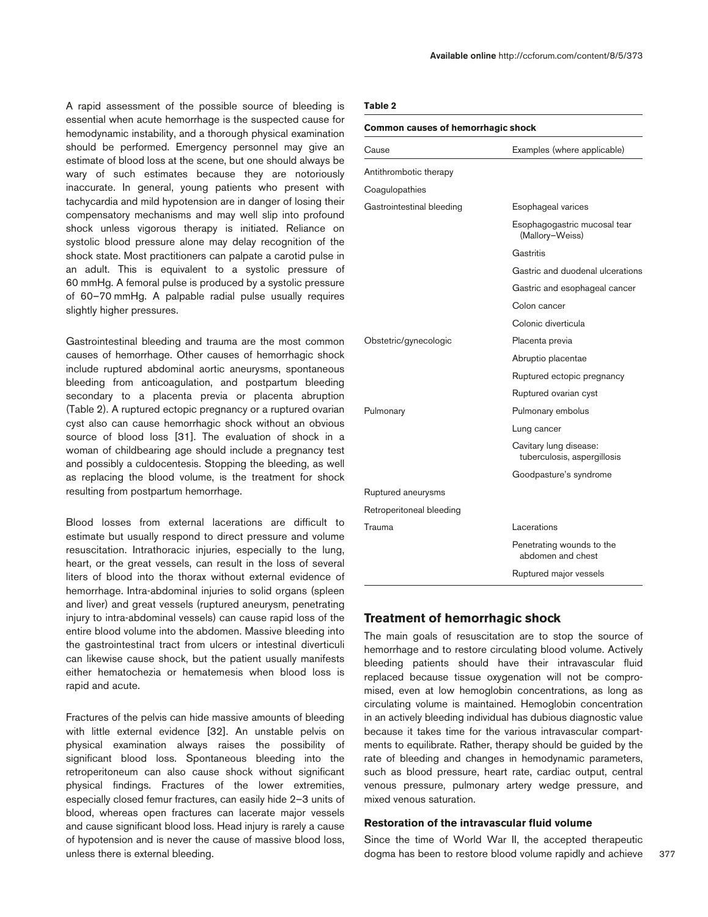A rapid assessment of the possible source of bleeding is essential when acute hemorrhage is the suspected cause for hemodynamic instability, and a thorough physical examination should be performed. Emergency personnel may give an estimate of blood loss at the scene, but one should always be wary of such estimates because they are notoriously inaccurate. In general, young patients who present with tachycardia and mild hypotension are in danger of losing their compensatory mechanisms and may well slip into profound shock unless vigorous therapy is initiated. Reliance on systolic blood pressure alone may delay recognition of the shock state. Most practitioners can palpate a carotid pulse in an adult. This is equivalent to a systolic pressure of 60 mmHg. A femoral pulse is produced by a systolic pressure of 60–70 mmHg. A palpable radial pulse usually requires slightly higher pressures.

Gastrointestinal bleeding and trauma are the most common causes of hemorrhage. Other causes of hemorrhagic shock include ruptured abdominal aortic aneurysms, spontaneous bleeding from anticoagulation, and postpartum bleeding secondary to a placenta previa or placenta abruption (Table 2). A ruptured ectopic pregnancy or a ruptured ovarian cyst also can cause hemorrhagic shock without an obvious source of blood loss [31]. The evaluation of shock in a woman of childbearing age should include a pregnancy test and possibly a culdocentesis. Stopping the bleeding, as well as replacing the blood volume, is the treatment for shock resulting from postpartum hemorrhage.

Blood losses from external lacerations are difficult to estimate but usually respond to direct pressure and volume resuscitation. Intrathoracic injuries, especially to the lung, heart, or the great vessels, can result in the loss of several liters of blood into the thorax without external evidence of hemorrhage. Intra-abdominal injuries to solid organs (spleen and liver) and great vessels (ruptured aneurysm, penetrating injury to intra-abdominal vessels) can cause rapid loss of the entire blood volume into the abdomen. Massive bleeding into the gastrointestinal tract from ulcers or intestinal diverticuli can likewise cause shock, but the patient usually manifests either hematochezia or hematemesis when blood loss is rapid and acute.

Fractures of the pelvis can hide massive amounts of bleeding with little external evidence [32]. An unstable pelvis on physical examination always raises the possibility of significant blood loss. Spontaneous bleeding into the retroperitoneum can also cause shock without significant physical findings. Fractures of the lower extremities, especially closed femur fractures, can easily hide 2–3 units of blood, whereas open fractures can lacerate major vessels and cause significant blood loss. Head injury is rarely a cause of hypotension and is never the cause of massive blood loss, unless there is external bleeding.

## **Table 2**

#### **Common causes of hemorrhagic shock**

| Cause                     | Examples (where applicable)                           |  |
|---------------------------|-------------------------------------------------------|--|
| Antithrombotic therapy    |                                                       |  |
| Coagulopathies            |                                                       |  |
| Gastrointestinal bleeding | Esophageal varices                                    |  |
|                           | Esophagogastric mucosal tear<br>(Mallory-Weiss)       |  |
|                           | Gastritis                                             |  |
|                           | Gastric and duodenal ulcerations                      |  |
|                           | Gastric and esophageal cancer                         |  |
|                           | Colon cancer                                          |  |
|                           | Colonic diverticula                                   |  |
| Obstetric/gynecologic     | Placenta previa                                       |  |
|                           | Abruptio placentae                                    |  |
|                           | Ruptured ectopic pregnancy                            |  |
|                           | Ruptured ovarian cyst                                 |  |
| Pulmonary                 | Pulmonary embolus                                     |  |
|                           | Lung cancer                                           |  |
|                           | Cavitary lung disease:<br>tuberculosis, aspergillosis |  |
|                           | Goodpasture's syndrome                                |  |
| Ruptured aneurysms        |                                                       |  |
| Retroperitoneal bleeding  |                                                       |  |
| Trauma                    | Lacerations                                           |  |
|                           | Penetrating wounds to the<br>abdomen and chest        |  |
|                           | Ruptured major vessels                                |  |

## **Treatment of hemorrhagic shock**

The main goals of resuscitation are to stop the source of hemorrhage and to restore circulating blood volume. Actively bleeding patients should have their intravascular fluid replaced because tissue oxygenation will not be compromised, even at low hemoglobin concentrations, as long as circulating volume is maintained. Hemoglobin concentration in an actively bleeding individual has dubious diagnostic value because it takes time for the various intravascular compartments to equilibrate. Rather, therapy should be guided by the rate of bleeding and changes in hemodynamic parameters, such as blood pressure, heart rate, cardiac output, central venous pressure, pulmonary artery wedge pressure, and mixed venous saturation.

## **Restoration of the intravascular fluid volume**

Since the time of World War II, the accepted therapeutic dogma has been to restore blood volume rapidly and achieve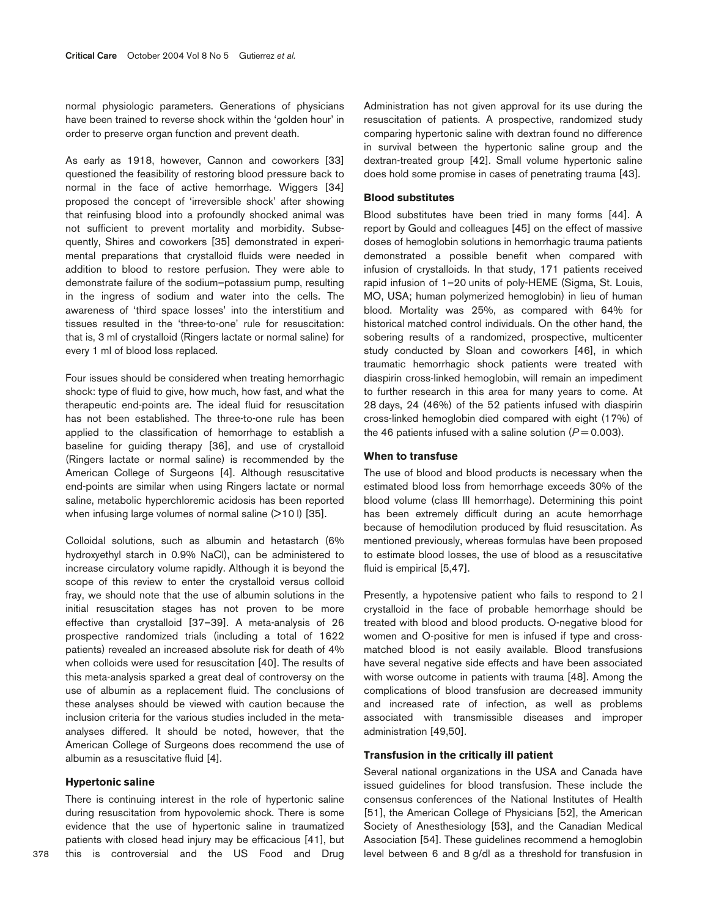normal physiologic parameters. Generations of physicians have been trained to reverse shock within the 'golden hour' in order to preserve organ function and prevent death.

As early as 1918, however, Cannon and coworkers [33] questioned the feasibility of restoring blood pressure back to normal in the face of active hemorrhage. Wiggers [34] proposed the concept of 'irreversible shock' after showing that reinfusing blood into a profoundly shocked animal was not sufficient to prevent mortality and morbidity. Subsequently, Shires and coworkers [35] demonstrated in experimental preparations that crystalloid fluids were needed in addition to blood to restore perfusion. They were able to demonstrate failure of the sodium–potassium pump, resulting in the ingress of sodium and water into the cells. The awareness of 'third space losses' into the interstitium and tissues resulted in the 'three-to-one' rule for resuscitation: that is, 3 ml of crystalloid (Ringers lactate or normal saline) for every 1 ml of blood loss replaced.

Four issues should be considered when treating hemorrhagic shock: type of fluid to give, how much, how fast, and what the therapeutic end-points are. The ideal fluid for resuscitation has not been established. The three-to-one rule has been applied to the classification of hemorrhage to establish a baseline for guiding therapy [36], and use of crystalloid (Ringers lactate or normal saline) is recommended by the American College of Surgeons [4]. Although resuscitative end-points are similar when using Ringers lactate or normal saline, metabolic hyperchloremic acidosis has been reported when infusing large volumes of normal saline  $($ >10 l) [35].

Colloidal solutions, such as albumin and hetastarch (6% hydroxyethyl starch in 0.9% NaCl), can be administered to increase circulatory volume rapidly. Although it is beyond the scope of this review to enter the crystalloid versus colloid fray, we should note that the use of albumin solutions in the initial resuscitation stages has not proven to be more effective than crystalloid [37–39]. A meta-analysis of 26 prospective randomized trials (including a total of 1622 patients) revealed an increased absolute risk for death of 4% when colloids were used for resuscitation [40]. The results of this meta-analysis sparked a great deal of controversy on the use of albumin as a replacement fluid. The conclusions of these analyses should be viewed with caution because the inclusion criteria for the various studies included in the metaanalyses differed. It should be noted, however, that the American College of Surgeons does recommend the use of albumin as a resuscitative fluid [4].

### **Hypertonic saline**

There is continuing interest in the role of hypertonic saline during resuscitation from hypovolemic shock. There is some evidence that the use of hypertonic saline in traumatized patients with closed head injury may be efficacious [41], but this is controversial and the US Food and Drug

Administration has not given approval for its use during the resuscitation of patients. A prospective, randomized study comparing hypertonic saline with dextran found no difference in survival between the hypertonic saline group and the dextran-treated group [42]. Small volume hypertonic saline does hold some promise in cases of penetrating trauma [43].

#### **Blood substitutes**

Blood substitutes have been tried in many forms [44]. A report by Gould and colleagues [45] on the effect of massive doses of hemoglobin solutions in hemorrhagic trauma patients demonstrated a possible benefit when compared with infusion of crystalloids. In that study, 171 patients received rapid infusion of 1–20 units of poly-HEME (Sigma, St. Louis, MO, USA; human polymerized hemoglobin) in lieu of human blood. Mortality was 25%, as compared with 64% for historical matched control individuals. On the other hand, the sobering results of a randomized, prospective, multicenter study conducted by Sloan and coworkers [46], in which traumatic hemorrhagic shock patients were treated with diaspirin cross-linked hemoglobin, will remain an impediment to further research in this area for many years to come. At 28 days, 24 (46%) of the 52 patients infused with diaspirin cross-linked hemoglobin died compared with eight (17%) of the 46 patients infused with a saline solution  $(P = 0.003)$ .

### **When to transfuse**

The use of blood and blood products is necessary when the estimated blood loss from hemorrhage exceeds 30% of the blood volume (class III hemorrhage). Determining this point has been extremely difficult during an acute hemorrhage because of hemodilution produced by fluid resuscitation. As mentioned previously, whereas formulas have been proposed to estimate blood losses, the use of blood as a resuscitative fluid is empirical [5,47].

Presently, a hypotensive patient who fails to respond to 2 l crystalloid in the face of probable hemorrhage should be treated with blood and blood products. O-negative blood for women and O-positive for men is infused if type and crossmatched blood is not easily available. Blood transfusions have several negative side effects and have been associated with worse outcome in patients with trauma [48]. Among the complications of blood transfusion are decreased immunity and increased rate of infection, as well as problems associated with transmissible diseases and improper administration [49,50].

### **Transfusion in the critically ill patient**

Several national organizations in the USA and Canada have issued guidelines for blood transfusion. These include the consensus conferences of the National Institutes of Health [51], the American College of Physicians [52], the American Society of Anesthesiology [53], and the Canadian Medical Association [54]. These guidelines recommend a hemoglobin level between 6 and 8 g/dl as a threshold for transfusion in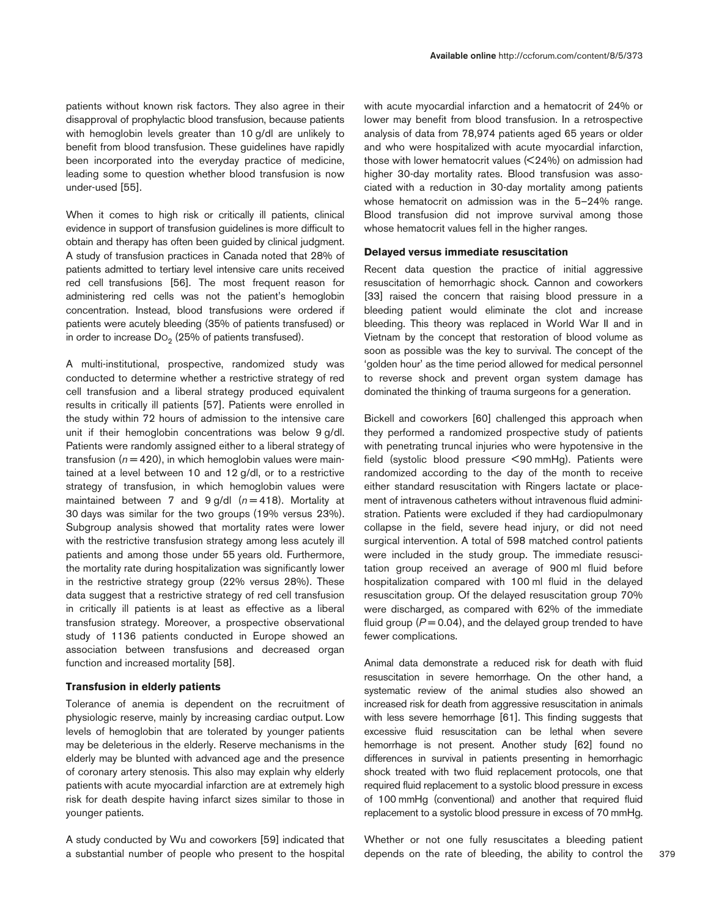patients without known risk factors. They also agree in their disapproval of prophylactic blood transfusion, because patients with hemoglobin levels greater than 10 g/dl are unlikely to benefit from blood transfusion. These guidelines have rapidly been incorporated into the everyday practice of medicine, leading some to question whether blood transfusion is now under-used [55].

When it comes to high risk or critically ill patients, clinical evidence in support of transfusion guidelines is more difficult to obtain and therapy has often been guided by clinical judgment. A study of transfusion practices in Canada noted that 28% of patients admitted to tertiary level intensive care units received red cell transfusions [56]. The most frequent reason for administering red cells was not the patient's hemoglobin concentration. Instead, blood transfusions were ordered if patients were acutely bleeding (35% of patients transfused) or in order to increase  $Do<sub>2</sub>$  (25% of patients transfused).

A multi-institutional, prospective, randomized study was conducted to determine whether a restrictive strategy of red cell transfusion and a liberal strategy produced equivalent results in critically ill patients [57]. Patients were enrolled in the study within 72 hours of admission to the intensive care unit if their hemoglobin concentrations was below 9 g/dl. Patients were randomly assigned either to a liberal strategy of transfusion  $(n = 420)$ , in which hemoglobin values were maintained at a level between 10 and 12 g/dl, or to a restrictive strategy of transfusion, in which hemoglobin values were maintained between 7 and  $9$  g/dl  $(n=418)$ . Mortality at 30 days was similar for the two groups (19% versus 23%). Subgroup analysis showed that mortality rates were lower with the restrictive transfusion strategy among less acutely ill patients and among those under 55 years old. Furthermore, the mortality rate during hospitalization was significantly lower in the restrictive strategy group (22% versus 28%). These data suggest that a restrictive strategy of red cell transfusion in critically ill patients is at least as effective as a liberal transfusion strategy. Moreover, a prospective observational study of 1136 patients conducted in Europe showed an association between transfusions and decreased organ function and increased mortality [58].

#### **Transfusion in elderly patients**

Tolerance of anemia is dependent on the recruitment of physiologic reserve, mainly by increasing cardiac output. Low levels of hemoglobin that are tolerated by younger patients may be deleterious in the elderly. Reserve mechanisms in the elderly may be blunted with advanced age and the presence of coronary artery stenosis. This also may explain why elderly patients with acute myocardial infarction are at extremely high risk for death despite having infarct sizes similar to those in younger patients.

A study conducted by Wu and coworkers [59] indicated that a substantial number of people who present to the hospital with acute myocardial infarction and a hematocrit of 24% or lower may benefit from blood transfusion. In a retrospective analysis of data from 78,974 patients aged 65 years or older and who were hospitalized with acute myocardial infarction, those with lower hematocrit values (<24%) on admission had higher 30-day mortality rates. Blood transfusion was associated with a reduction in 30-day mortality among patients whose hematocrit on admission was in the 5–24% range. Blood transfusion did not improve survival among those whose hematocrit values fell in the higher ranges.

#### **Delayed versus immediate resuscitation**

Recent data question the practice of initial aggressive resuscitation of hemorrhagic shock. Cannon and coworkers [33] raised the concern that raising blood pressure in a bleeding patient would eliminate the clot and increase bleeding. This theory was replaced in World War II and in Vietnam by the concept that restoration of blood volume as soon as possible was the key to survival. The concept of the 'golden hour' as the time period allowed for medical personnel to reverse shock and prevent organ system damage has dominated the thinking of trauma surgeons for a generation.

Bickell and coworkers [60] challenged this approach when they performed a randomized prospective study of patients with penetrating truncal injuries who were hypotensive in the field (systolic blood pressure <90 mmHg). Patients were randomized according to the day of the month to receive either standard resuscitation with Ringers lactate or placement of intravenous catheters without intravenous fluid administration. Patients were excluded if they had cardiopulmonary collapse in the field, severe head injury, or did not need surgical intervention. A total of 598 matched control patients were included in the study group. The immediate resuscitation group received an average of 900 ml fluid before hospitalization compared with 100 ml fluid in the delayed resuscitation group. Of the delayed resuscitation group 70% were discharged, as compared with 62% of the immediate fluid group  $(P = 0.04)$ , and the delayed group trended to have fewer complications.

Animal data demonstrate a reduced risk for death with fluid resuscitation in severe hemorrhage. On the other hand, a systematic review of the animal studies also showed an increased risk for death from aggressive resuscitation in animals with less severe hemorrhage [61]. This finding suggests that excessive fluid resuscitation can be lethal when severe hemorrhage is not present. Another study [62] found no differences in survival in patients presenting in hemorrhagic shock treated with two fluid replacement protocols, one that required fluid replacement to a systolic blood pressure in excess of 100 mmHg (conventional) and another that required fluid replacement to a systolic blood pressure in excess of 70 mmHg.

Whether or not one fully resuscitates a bleeding patient depends on the rate of bleeding, the ability to control the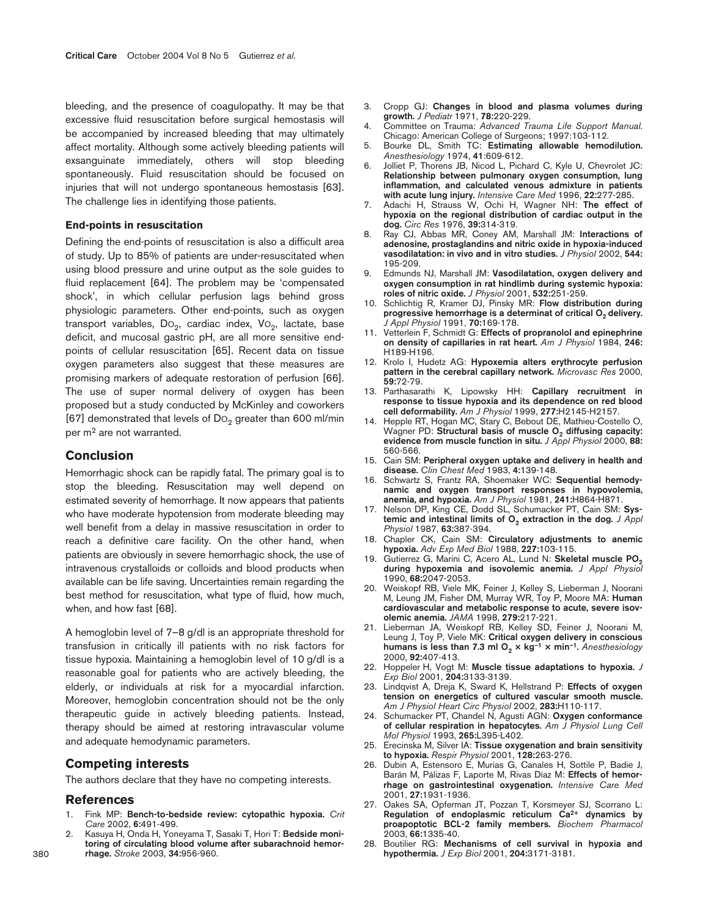bleeding, and the presence of coagulopathy. It may be that excessive fluid resuscitation before surgical hemostasis will be accompanied by increased bleeding that may ultimately affect mortality. Although some actively bleeding patients will exsanguinate immediately, others will stop bleeding spontaneously. Fluid resuscitation should be focused on injuries that will not undergo spontaneous hemostasis [63]. The challenge lies in identifying those patients.

#### **End-points in resuscitation**

Defining the end-points of resuscitation is also a difficult area of study. Up to 85% of patients are under-resuscitated when using blood pressure and urine output as the sole guides to fluid replacement [64]. The problem may be 'compensated shock', in which cellular perfusion lags behind gross physiologic parameters. Other end-points, such as oxygen transport variables,  $Do_2$ , cardiac index,  $Vo_2$ , lactate, base deficit, and mucosal gastric pH, are all more sensitive endpoints of cellular resuscitation [65]. Recent data on tissue oxygen parameters also suggest that these measures are promising markers of adequate restoration of perfusion [66]. The use of super normal delivery of oxygen has been proposed but a study conducted by McKinley and coworkers [67] demonstrated that levels of  $Do<sub>2</sub>$  greater than 600 ml/min per m2 are not warranted.

### **Conclusion**

Hemorrhagic shock can be rapidly fatal. The primary goal is to stop the bleeding. Resuscitation may well depend on estimated severity of hemorrhage. It now appears that patients who have moderate hypotension from moderate bleeding may well benefit from a delay in massive resuscitation in order to reach a definitive care facility. On the other hand, when patients are obviously in severe hemorrhagic shock, the use of intravenous crystalloids or colloids and blood products when available can be life saving. Uncertainties remain regarding the best method for resuscitation, what type of fluid, how much, when, and how fast [68].

A hemoglobin level of 7–8 g/dl is an appropriate threshold for transfusion in critically ill patients with no risk factors for tissue hypoxia. Maintaining a hemoglobin level of 10 g/dl is a reasonable goal for patients who are actively bleeding, the elderly, or individuals at risk for a myocardial infarction. Moreover, hemoglobin concentration should not be the only therapeutic guide in actively bleeding patients. Instead, therapy should be aimed at restoring intravascular volume and adequate hemodynamic parameters.

#### **Competing interests**

The authors declare that they have no competing interests.

## **References**

- 1. Fink MP: **Bench-to-bedside review: cytopathic hypoxia.** *Crit Care* 2002, **6:**491-499.
- Kasuya H, Onda H, Yoneyama T, Sasaki T, Hori T: Bedside moni**toring of circulating blood volume after subarachnoid hemorrhage.** *Stroke* 2003, **34:**956-960.
- 3. Cropp GJ: **Changes in blood and plasma volumes during growth.** *J Pediatr* 1971, **78:**220-229.
- 4. Committee on Trauma: *Advanced Trauma Life Support Manual*. Chicago: American College of Surgeons; 1997:103-112.
- 5. Bourke DL, Smith TC: **Estimating allowable hemodilution.** *Anesthesiology* 1974, **41**:609-612.
- 6. Jolliet P, Thorens JB, Nicod L, Pichard C, Kyle U, Chevrolet JC: **Relationship between pulmonary oxygen consumption, lung inflammation, and calculated venous admixture in patients with acute lung injury.** *Intensive Care Med* 1996, **22:**277-285.
- 7. Adachi H, Strauss W, Ochi H, Wagner NH: **The effect of hypoxia on the regional distribution of cardiac output in the dog.** *Circ Res* 1976, **39:**314-319.
- 8. Ray CJ, Abbas MR, Coney AM, Marshall JM: **Interactions of adenosine, prostaglandins and nitric oxide in hypoxia-induced vasodilatation: in vivo and in vitro studies.** *J Physiol* 2002, **544:** 195-209.
- 9. Edmunds NJ, Marshall JM: **Vasodilatation, oxygen delivery and oxygen consumption in rat hindlimb during systemic hypoxia: roles of nitric oxide.** *J Physiol* 2001, **532:**251-259.
- 10. Schlichtig R, Kramer DJ, Pinsky MR: **Flow distribution during** progressive hemorrhage is a determinat of critical O<sub>2</sub> delivery. *J Appl Physiol* 1991, **70:**169-178.
- 11. Vetterlein F, Schmidt G: **Effects of propranolol and epinephrine on density of capillaries in rat heart.** *Am J Physiol* 1984, **246:** H189-H196.
- 12. Krolo I, Hudetz AG: **Hypoxemia alters erythrocyte perfusion pattern in the cerebral capillary network.** *Microvasc Res* 2000, **59:**72-79.
- 13. Parthasarathi K, Lipowsky HH: **Capillary recruitment in response to tissue hypoxia and its dependence on red blood cell deformability.** *Am J Physiol* 1999, **277:**H2145-H2157.
- 14. Hepple RT, Hogan MC, Stary C, Bebout DE, Mathieu-Costello O, Wagner PD: Structural basis of muscle O<sub>2</sub> diffusing capacity: **evidence from muscle function in situ.** *J Appl Physiol* 2000, **88:** 560-566.
- 15. Cain SM: **Peripheral oxygen uptake and delivery in health and disease.** *Clin Chest Med* 1983, **4:**139-148.
- 16. Schwartz S, Frantz RA, Shoemaker WC: **Sequential hemodynamic and oxygen transport responses in hypovolemia, anemia, and hypoxia.** *Am J Physiol* 1981, **241:**H864-H871.
- 17. Nelson DP, King CE, Dodd SL, Schumacker PT, Cain SM: **Sys**temic and intestinal limits of  $O<sub>2</sub>$  extraction in the dog. *J Appl Physiol* 1987, **63:**387-394.
- 18. Chapler CK, Cain SM: **Circulatory adjustments to anemic hypoxia.** *Adv Exp Med Biol* 1988, **227:**103-115.
- 19. Gutierrez G, Marini C, Acero AL, Lund N: Skeletal muscle PO<sub>2</sub> **during hypoxemia and isovolemic anemia.** *J Appl Physiol* 1990, **68:**2047-2053.
- 20. Weiskopf RB, Viele MK, Feiner J, Kelley S, Lieberman J, Noorani M, Leung JM, Fisher DM, Murray WR, Toy P, Moore MA: **Human cardiovascular and metabolic response to acute, severe isovolemic anemia.** *JAMA* 1998, **279:**217-221.
- 21. Lieberman JA, Weiskopf RB, Kelley SD, Feiner J, Noorani M, Leung J, Toy P, Viele MK: **Critical oxygen delivery in conscious humans is less than 7.3 ml O2 × kg–1 × min–1.** *Anesthesiology* 2000, **92:**407-413.
- 22. Hoppeler H, Vogt M: **Muscle tissue adaptations to hypoxia.** *J Exp Biol* 2001, **204:**3133-3139.
- 23. Lindqvist A, Dreja K, Sward K, Hellstrand P: **Effects of oxygen tension on energetics of cultured vascular smooth muscle.** *Am J Physiol Heart Circ Physiol* 2002, **283:**H110-117.
- 24. Schumacker PT, Chandel N, Agusti AGN: **Oxygen conformance of cellular respiration in hepatocytes.** *Am J Physiol Lung Cell Mol Physiol* 1993, **265:**L395-L402.
- 25. Erecinska M, Silver IA: **Tissue oxygenation and brain sensitivity to hypoxia.** *Respir Physiol* 2001, **128:**263-276.
- 26. Dubin A, Estensoro E, Murias G, Canales H, Sottile P, Badie J, Barán M, Pálizas F, Laporte M, Rivas Díaz M: **Effects of hemorrhage on gastrointestinal oxygenation.** *Intensive Care Med* 2001, **27:**1931-1936.
- 27. Oakes SA, Opferman JT, Pozzan T, Korsmeyer SJ, Scorrano L: **Regulation of endoplasmic reticulum Ca2+ dynamics by proapoptotic BCL-2 family members.** *Biochem Pharmacol* 2003, **66:**1335-40.
- 28. Boutilier RG: **Mechanisms of cell survival in hypoxia and hypothermia.** *J Exp Biol* 2001, **204:**3171-3181.